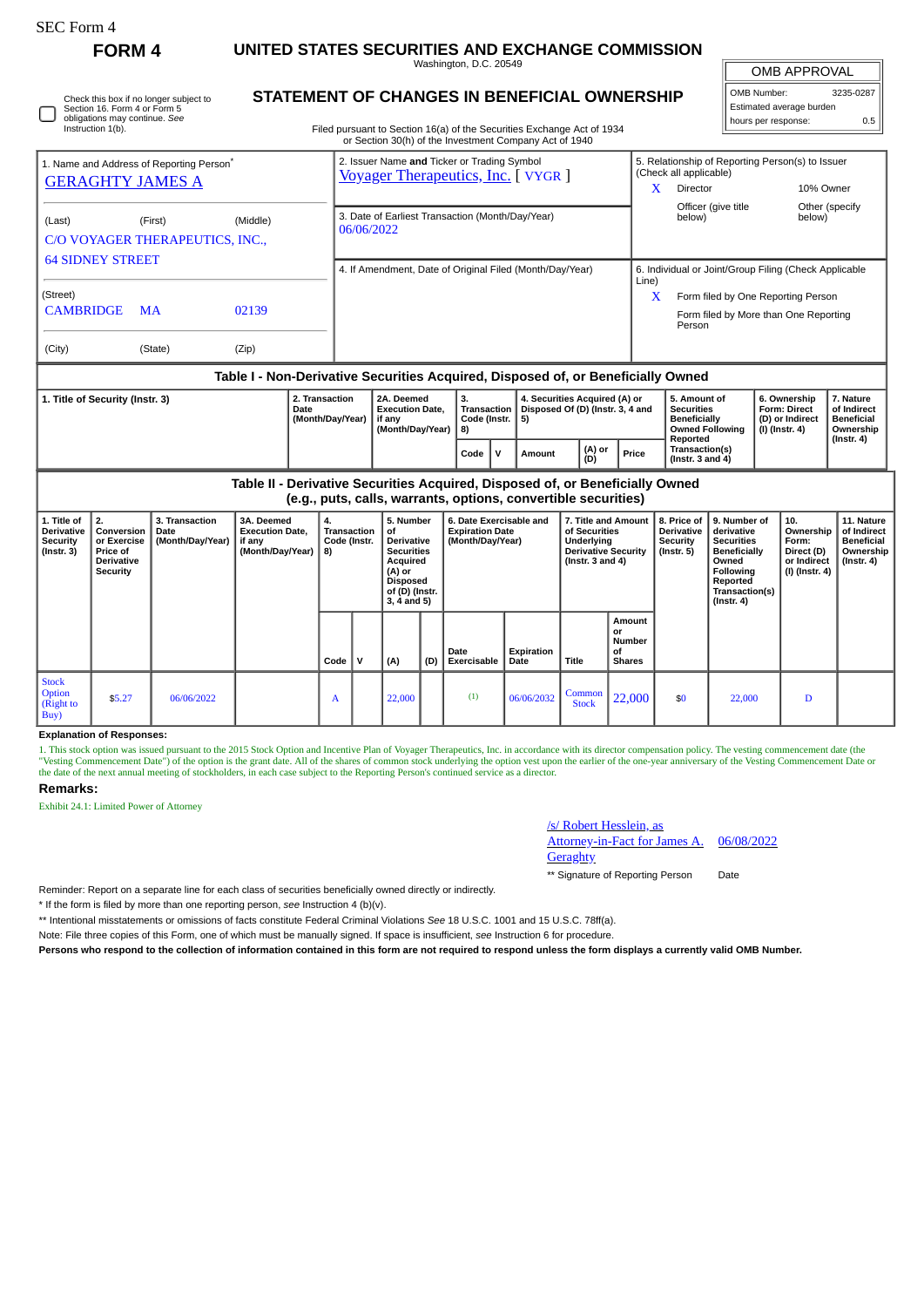| F0rm |
|------|
|------|

Check this box if no longer subject to Section 16. Form 4 or Form 5 obligations may continue. *See* Instruction 1(b).

**FORM 4 UNITED STATES SECURITIES AND EXCHANGE COMMISSION**

Washington, D.C. 20549 **STATEMENT OF CHANGES IN BENEFICIAL OWNERSHIP**

OMB APPROVAL

 $\mathbb{I}$ 

| OMB Number:              | 3235-0287<br>ı |  |  |  |  |  |  |  |  |
|--------------------------|----------------|--|--|--|--|--|--|--|--|
| Estimated average burden |                |  |  |  |  |  |  |  |  |
| hours per response:      | 0.5            |  |  |  |  |  |  |  |  |

Filed pursuant to Section 16(a) of the Securities Exchange Act of 1934 or Section 30(h) of the Investment Company Act of 1940

|                                                                                  |           |          |            | 01 Security Solling of the investment Company Act of 1940                          |                                   |                                                                           |                                                                            |                                                   |                                                        |                                               |  |  |
|----------------------------------------------------------------------------------|-----------|----------|------------|------------------------------------------------------------------------------------|-----------------------------------|---------------------------------------------------------------------------|----------------------------------------------------------------------------|---------------------------------------------------|--------------------------------------------------------|-----------------------------------------------|--|--|
| 1. Name and Address of Reporting Person <sup>®</sup>                             |           |          |            | 2. Issuer Name and Ticker or Trading Symbol<br>Voyager Therapeutics, Inc. [ VYGR ] |                                   |                                                                           | 5. Relationship of Reporting Person(s) to Issuer<br>(Check all applicable) |                                                   |                                                        |                                               |  |  |
| <b>GERAGHTY JAMES A</b>                                                          |           |          |            |                                                                                    |                                   |                                                                           | x                                                                          | Director                                          | 10% Owner                                              |                                               |  |  |
| (Last)<br>C/O VOYAGER THERAPEUTICS, INC.,                                        | (First)   | (Middle) | 06/06/2022 | 3. Date of Earliest Transaction (Month/Day/Year)                                   |                                   |                                                                           |                                                                            | Officer (give title<br>below)                     | below)                                                 | Other (specify                                |  |  |
| <b>64 SIDNEY STREET</b>                                                          |           |          |            | 4. If Amendment, Date of Original Filed (Month/Day/Year)                           |                                   |                                                                           | 6. Individual or Joint/Group Filing (Check Applicable                      |                                                   |                                                        |                                               |  |  |
| (Street)                                                                         |           |          |            |                                                                                    |                                   |                                                                           | Line)<br>X                                                                 | Form filed by One Reporting Person                |                                                        |                                               |  |  |
| <b>CAMBRIDGE</b>                                                                 | <b>MA</b> | 02139    |            |                                                                                    |                                   |                                                                           |                                                                            | Form filed by More than One Reporting<br>Person   |                                                        |                                               |  |  |
| (City)                                                                           | (State)   | (Zip)    |            |                                                                                    |                                   |                                                                           |                                                                            |                                                   |                                                        |                                               |  |  |
| Table I - Non-Derivative Securities Acquired, Disposed of, or Beneficially Owned |           |          |            |                                                                                    |                                   |                                                                           |                                                                            |                                                   |                                                        |                                               |  |  |
| 2. Transaction<br>1. Title of Security (Instr. 3)<br>Date<br>(Month/Day/Year)    |           |          |            | 2A. Deemed<br><b>Execution Date.</b><br>, if any                                   | 3.<br>Transaction<br>Code (Instr. | 4. Securities Acquired (A) or<br>Disposed Of (D) (Instr. 3, 4 and<br>l 5) |                                                                            | 5. Amount of<br><b>Securities</b><br>Beneficially | 6. Ownership<br><b>Form: Direct</b><br>(D) or Indirect | 7. Nature<br>of Indirect<br><b>Beneficial</b> |  |  |

| Puu<br>(Month/Dav/Year) | EACOMMON DUCT<br>` if anv<br>(Month/Dav/Year) | Code (Instr.<br>8) | P <sub>1</sub><br>5) |               |       | ----------<br>Beneficially<br><b>Owned Following</b><br>Reported | .<br>(D) or Indirect<br>(I) (Instr. 4) | <u>viillalleet</u><br><b>Beneficial</b><br>Ownership<br>$($ lnstr. 4 $)$ |
|-------------------------|-----------------------------------------------|--------------------|----------------------|---------------|-------|------------------------------------------------------------------|----------------------------------------|--------------------------------------------------------------------------|
|                         |                                               | Code               | Amount               | (A) or<br>(D) | Price | Transaction(s)<br>(Instr. $3$ and $4$ )                          |                                        |                                                                          |

**Table II - Derivative Securities Acquired, Disposed of, or Beneficially Owned (e.g., puts, calls, warrants, options, convertible securities)**

|                                                                  | (0.5)                                                                               |                                            |                                                                    |                                         |              |                                                                                                                                         |     |                                                                       |                    |                                                                                                          |                                                      |                                                            |                                                                                                                                                |                                                                          |                                                                           |
|------------------------------------------------------------------|-------------------------------------------------------------------------------------|--------------------------------------------|--------------------------------------------------------------------|-----------------------------------------|--------------|-----------------------------------------------------------------------------------------------------------------------------------------|-----|-----------------------------------------------------------------------|--------------------|----------------------------------------------------------------------------------------------------------|------------------------------------------------------|------------------------------------------------------------|------------------------------------------------------------------------------------------------------------------------------------------------|--------------------------------------------------------------------------|---------------------------------------------------------------------------|
| 1. Title of<br>Derivative<br><b>Security</b><br>$($ Instr. 3 $)$ | 2.<br>Conversion<br>or Exercise<br><b>Price of</b><br><b>Derivative</b><br>Security | 3. Transaction<br>Date<br>(Month/Day/Year) | 3A. Deemed<br><b>Execution Date,</b><br>if any<br>(Month/Day/Year) | 4.<br>Transaction<br>Code (Instr.<br>8) |              | 5. Number<br>οf<br><b>Derivative</b><br><b>Securities</b><br>Acquired<br>(A) or<br><b>Disposed</b><br>of (D) (Instr.<br>$3, 4$ and $5)$ |     | 6. Date Exercisable and<br><b>Expiration Date</b><br>(Month/Day/Year) |                    | 7. Title and Amount<br>of Securities<br>Underlying<br><b>Derivative Security</b><br>( $Instr. 3 and 4$ ) |                                                      | 8. Price of<br><b>Derivative</b><br>Security<br>(Instr. 5) | 9. Number of<br>derivative<br><b>Securities</b><br>Beneficially<br>Owned<br><b>Following</b><br>Reported<br>Transaction(s)<br>$($ Instr. 4 $)$ | 10.<br>Ownership<br>Form:<br>Direct (D)<br>or Indirect<br>(I) (Instr. 4) | 11. Nature<br>of Indirect<br><b>Beneficial</b><br>Ownership<br>(Instr. 4) |
|                                                                  |                                                                                     |                                            |                                                                    | Code                                    | $\mathsf{v}$ | (A)                                                                                                                                     | (D) | Date<br>Exercisable                                                   | Expiration<br>Date | Title                                                                                                    | Amount<br>or<br><b>Number</b><br>οf<br><b>Shares</b> |                                                            |                                                                                                                                                |                                                                          |                                                                           |
| <b>Stock</b><br><b>Option</b><br>(Right to<br>Buy)               | \$5.27                                                                              | 06/06/2022                                 |                                                                    | A                                       |              | 22,000                                                                                                                                  |     | (1)                                                                   | 06/06/2032         | Common<br><b>Stock</b>                                                                                   | 22,000                                               | \$0                                                        | 22,000                                                                                                                                         | D                                                                        |                                                                           |

### **Explanation of Responses:**

1. This stock option was issued pursuant to the 2015 Stock Option and Incentive Plan of Voyager Therapeutics, Inc. in accordance with its director compensation policy. The vesting commencement date (the "Vesting Commencement Date") of the option is the grant date. All of the shares of common stock underlying the option vest upon the earlier of the one-year anniversary of the Vesting Commencement Date or<br>the date of the ne

## **Remarks:**

Exhibit 24.1: Limited Power of Attorney

# /s/ Robert Hesslein, as

Attorney-in-Fact for James A. **Geraghty** 06/08/2022

\*\* Signature of Reporting Person Date

Reminder: Report on a separate line for each class of securities beneficially owned directly or indirectly.

\* If the form is filed by more than one reporting person, *see* Instruction 4 (b)(v).

\*\* Intentional misstatements or omissions of facts constitute Federal Criminal Violations *See* 18 U.S.C. 1001 and 15 U.S.C. 78ff(a).

Note: File three copies of this Form, one of which must be manually signed. If space is insufficient, *see* Instruction 6 for procedure.

**Persons who respond to the collection of information contained in this form are not required to respond unless the form displays a currently valid OMB Number.**